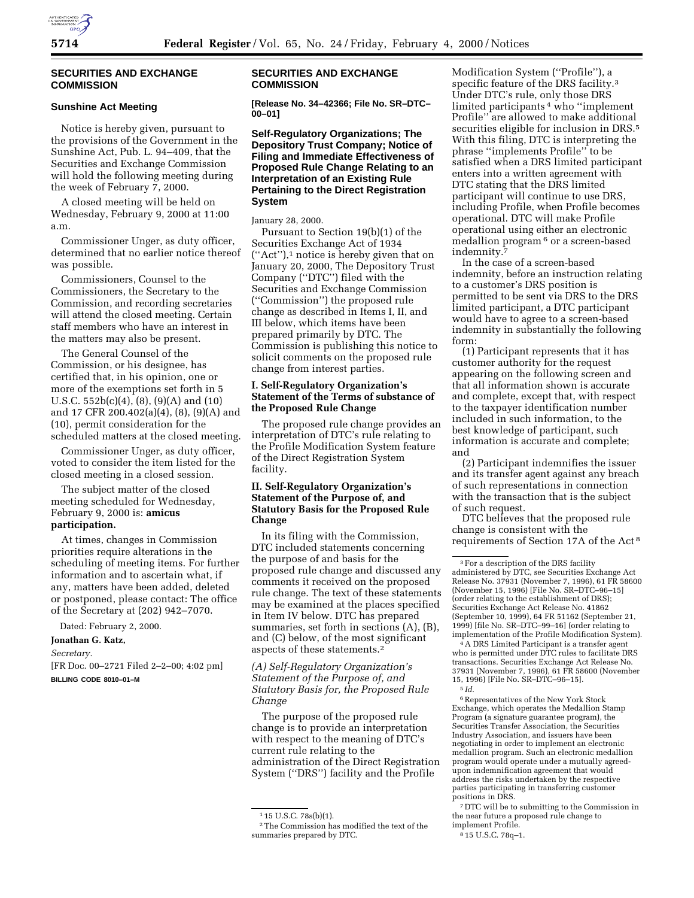

## **SECURITIES AND EXCHANGE COMMISSION**

# **Sunshine Act Meeting**

Notice is hereby given, pursuant to the provisions of the Government in the Sunshine Act, Pub. L. 94–409, that the Securities and Exchange Commission will hold the following meeting during the week of February 7, 2000.

A closed meeting will be held on Wednesday, February 9, 2000 at 11:00 a.m.

Commissioner Unger, as duty officer, determined that no earlier notice thereof was possible.

Commissioners, Counsel to the Commissioners, the Secretary to the Commission, and recording secretaries will attend the closed meeting. Certain staff members who have an interest in the matters may also be present.

The General Counsel of the Commission, or his designee, has certified that, in his opinion, one or more of the exemptions set forth in 5 U.S.C. 552b(c)(4), (8), (9)(A) and (10) and 17 CFR 200.402(a)(4), (8), (9)(A) and (10), permit consideration for the scheduled matters at the closed meeting.

Commissioner Unger, as duty officer, voted to consider the item listed for the closed meeting in a closed session.

The subject matter of the closed meeting scheduled for Wednesday, February 9, 2000 is: **amicus participation.**

At times, changes in Commission priorities require alterations in the scheduling of meeting items. For further information and to ascertain what, if any, matters have been added, deleted or postponed, please contact: The office of the Secretary at (202) 942–7070.

Dated: February 2, 2000.

#### **Jonathan G. Katz,**

*Secretary.*

[FR Doc. 00–2721 Filed 2–2–00; 4:02 pm] **BILLING CODE 8010–01–M**

#### **SECURITIES AND EXCHANGE COMMISSION**

**[Release No. 34–42366; File No. SR–DTC– 00–01]**

**Self-Regulatory Organizations; The Depository Trust Company; Notice of Filing and Immediate Effectiveness of Proposed Rule Change Relating to an Interpretation of an Existing Rule Pertaining to the Direct Registration System**

January 28, 2000.

Pursuant to Section 19(b)(1) of the Securities Exchange Act of 1934 (''Act''),1 notice is hereby given that on January 20, 2000, The Depository Trust Company (''DTC'') filed with the Securities and Exchange Commission (''Commission'') the proposed rule change as described in Items I, II, and III below, which items have been prepared primarily by DTC. The Commission is publishing this notice to solicit comments on the proposed rule change from interest parties.

# **I. Self-Regulatory Organization's Statement of the Terms of substance of the Proposed Rule Change**

The proposed rule change provides an interpretation of DTC's rule relating to the Profile Modification System feature of the Direct Registration System facility.

# **II. Self-Regulatory Organization's Statement of the Purpose of, and Statutory Basis for the Proposed Rule Change**

In its filing with the Commission, DTC included statements concerning the purpose of and basis for the proposed rule change and discussed any comments it received on the proposed rule change. The text of these statements may be examined at the places specified in Item IV below. DTC has prepared summaries, set forth in sections (A), (B), and (C) below, of the most significant aspects of these statements.2

*(A) Self-Regulatory Organization's Statement of the Purpose of, and Statutory Basis for, the Proposed Rule Change*

The purpose of the proposed rule change is to provide an interpretation with respect to the meaning of DTC's current rule relating to the administration of the Direct Registration System (''DRS'') facility and the Profile

Modification System (''Profile''), a specific feature of the DRS facility.<sup>3</sup> Under DTC's rule, only those DRS limited participants 4 who ''implement Profile'' are allowed to make additional securities eligible for inclusion in DRS.<sup>5</sup> With this filing, DTC is interpreting the phrase ''implements Profile'' to be satisfied when a DRS limited participant enters into a written agreement with DTC stating that the DRS limited participant will continue to use DRS, including Profile, when Profile becomes operational. DTC will make Profile operational using either an electronic medallion program 6 or a screen-based indemnity.7

In the case of a screen-based indemnity, before an instruction relating to a customer's DRS position is permitted to be sent via DRS to the DRS limited participant, a DTC participant would have to agree to a screen-based indemnity in substantially the following form:

(1) Participant represents that it has customer authority for the request appearing on the following screen and that all information shown is accurate and complete, except that, with respect to the taxpayer identification number included in such information, to the best knowledge of participant, such information is accurate and complete; and

(2) Participant indemnifies the issuer and its transfer agent against any breach of such representations in connection with the transaction that is the subject of such request.

DTC believes that the proposed rule change is consistent with the requirements of Section 17A of the Act 8

4A DRS Limited Participant is a transfer agent who is permitted under DTC rules to facilitate DRS transactions. Securities Exchange Act Release No. 37931 (November 7, 1996), 61 FR 58600 (November 15, 1996) [File No. SR–DTC–96–15].

6Representatives of the New York Stock Exchange, which operates the Medallion Stamp Program (a signature guarantee program), the Securities Transfer Association, the Securities Industry Association, and issuers have been negotiating in order to implement an electronic medallion program. Such an electronic medallion program would operate under a mutually agreedupon indemnification agreement that would address the risks undertaken by the respective parties participating in transferring customer positions in DRS.

7 DTC will be to submitting to the Commission in the near future a proposed rule change to implement Profile.

 $115$  U.S.C.  $78s(b)(1)$ .

<sup>2</sup>The Commission has modified the text of the summaries prepared by DTC.

<sup>3</sup>For a description of the DRS facility administered by DTC, see Securities Exchange Act Release No. 37931 (November 7, 1996), 61 FR 58600 (November 15, 1996) [File No. SR–DTC–96–15] (order relating to the establishment of DRS); Securities Exchange Act Release No. 41862 (September 10, 1999), 64 FR 51162 (September 21, 1999) [file No. SR–DTC–99–16] (order relating to implementation of the Profile Modification System).

<sup>5</sup> *Id*.

<sup>8</sup> 15 U.S.C. 78q–1.